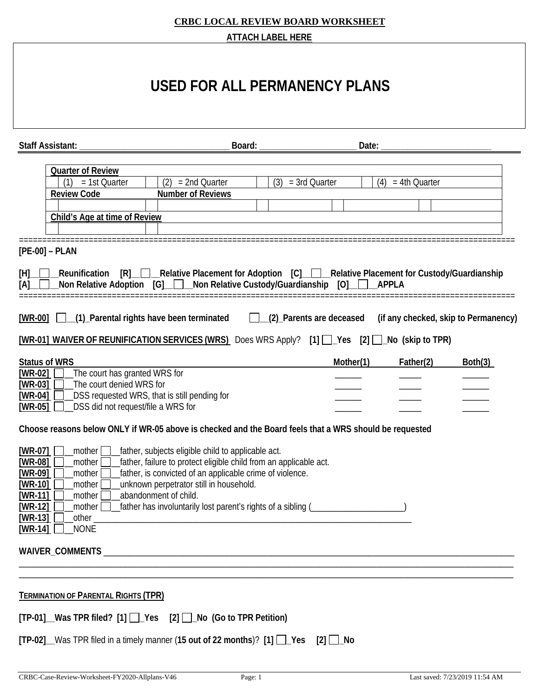| <b>Staff Assistant:</b>                                                                                                                                                                                                                                                             | Board:                                                                                                                                                                                                                                                                                                                   |                        | Date:     |                     |                                      |
|-------------------------------------------------------------------------------------------------------------------------------------------------------------------------------------------------------------------------------------------------------------------------------------|--------------------------------------------------------------------------------------------------------------------------------------------------------------------------------------------------------------------------------------------------------------------------------------------------------------------------|------------------------|-----------|---------------------|--------------------------------------|
| <b>Quarter of Review</b><br>= 1st Quarter<br><b>Review Code</b><br>Child's Age at time of Review                                                                                                                                                                                    | (2)<br>$= 2nd$ Quarter<br><b>Number of Reviews</b>                                                                                                                                                                                                                                                                       | (3)<br>$=$ 3rd Quarter |           | $(4) = 4th$ Quarter |                                      |
| $[PE-00] - PLAN$                                                                                                                                                                                                                                                                    |                                                                                                                                                                                                                                                                                                                          |                        |           |                     |                                      |
| [H]<br>Non Relative Adoption [G] Non Relative Custody/Guardianship [O]<br>[A]                                                                                                                                                                                                       | _Reunification [R]_ _ _____Relative Placement for Adoption [C]_ _ ________Relative Placement for Custody/Guardianship                                                                                                                                                                                                    |                        | APPLA     |                     |                                      |
|                                                                                                                                                                                                                                                                                     |                                                                                                                                                                                                                                                                                                                          |                        |           |                     |                                      |
|                                                                                                                                                                                                                                                                                     | [WR-00] [ \[ (1) Parental rights have been terminated [ \[ \] (2) Parents are deceased<br>[WR-01] WAIVER OF REUNIFICATION SERVICES (WRS) Does WRS Apply? [1] \[ __ Yes [2] \[ __ No (skip to TPR)                                                                                                                        |                        |           |                     | (if any checked, skip to Permanency) |
| The court has granted WRS for<br>The court denied WRS for<br>_DSS did not request/file a WRS for                                                                                                                                                                                    | _DSS requested WRS, that is still pending for                                                                                                                                                                                                                                                                            |                        | Mother(1) | Father(2)           | Both(3)                              |
|                                                                                                                                                                                                                                                                                     | Choose reasons below ONLY if WR-05 above is checked and the Board feels that a WRS should be requested                                                                                                                                                                                                                   |                        |           |                     |                                      |
| <b>Status of WRS</b><br>$[WR-02]$<br>$[WR-03]$<br>$[WR-04]$<br>$[WR-05]$<br>$[WR-07]$<br>_mother $\Box$<br>[WR-08]<br>mother<br>$[WR-09]$<br>mother [<br>$[WR-10]$<br>mother<br>$[WR-11]$<br>mother<br>$[WR-12]$<br>mother  <br>$[WR-13]$<br>_other _<br><b>NONE</b><br>[ $WR-14$ ] | _father, subjects eligible child to applicable act.<br>father, failure to protect eligible child from an applicable act.<br>father, is convicted of an applicable crime of violence.<br>unknown perpetrator still in household.<br>abandonment of child.<br>[ather has involuntarily lost parent's rights of a sibling ( |                        |           |                     |                                      |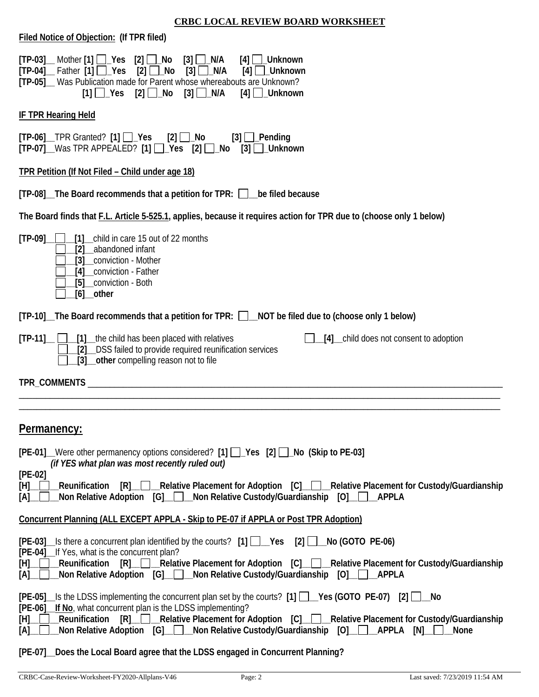| Filed Notice of Objection: (If TPR filed)                                                                                                                                                                                                                                                                                                                                                |
|------------------------------------------------------------------------------------------------------------------------------------------------------------------------------------------------------------------------------------------------------------------------------------------------------------------------------------------------------------------------------------------|
| $[TP-03]$ Mother $[1]$ $\Box$ Yes $[2]$ $\Box$ No<br>$[3]$ $\Box$ N/A<br>$[4]$     Unknown<br>$[TP-04]$ Father $[1]$ $\Box$ Yes<br>$[2]$ $\Box$ No<br>$[3]$ $\Box$ N/A<br>$[4]$ $\Box$ _Unknown<br>[TP-05] Was Publication made for Parent whose whereabouts are Unknown?<br>$[3]$ $\Box$ N/A<br>$[1]$ $\sqrt{es}$ $[2]$ $\sqrt{No}$<br>$[4]$ $\Box$ Unknown                             |
| <b>IF TPR Hearing Held</b>                                                                                                                                                                                                                                                                                                                                                               |
| $[TP-06]$ TPR Granted? $[1]$ $\Box$ Yes $[2]$ $\Box$ No<br>$[3]$ $\Box$ Pending<br>[TP-07] Was TPR APPEALED? [1]   Yes [2]   No [3]   Unknown                                                                                                                                                                                                                                            |
| TPR Petition (If Not Filed - Child under age 18)                                                                                                                                                                                                                                                                                                                                         |
| [TP-08] The Board recommends that a petition for TPR: in the filed because                                                                                                                                                                                                                                                                                                               |
| The Board finds that F.L. Article 5-525.1, applies, because it requires action for TPR due to (choose only 1 below)                                                                                                                                                                                                                                                                      |
| $[TP-09]$<br>[1] child in care 15 out of 22 months<br>abandoned infant<br>[3] conviction - Mother<br>[4] conviction - Father<br>[5] __ conviction - Both<br>$[6]$ other                                                                                                                                                                                                                  |
| [TP-10] The Board recommends that a petition for TPR: $\Box$ NOT be filed due to (choose only 1 below)                                                                                                                                                                                                                                                                                   |
| $[TP-11]$ $\Box$ $[1]$ the child has been placed with relatives<br>[4] __ child does not consent to adoption<br>[2] DSS failed to provide required reunification services<br>[3] __ other compelling reason not to file                                                                                                                                                                  |
|                                                                                                                                                                                                                                                                                                                                                                                          |
|                                                                                                                                                                                                                                                                                                                                                                                          |
| Permanency:                                                                                                                                                                                                                                                                                                                                                                              |
| [PE-01] Were other permanency options considered? [1] [J_Yes [2] [J_No (Skip to PE-03]<br>(if YES what plan was most recently ruled out)                                                                                                                                                                                                                                                 |
| $[PE-02]$<br>[R] Relative Placement for Adoption [C] Relative Placement for Custody/Guardianship<br>$[H] \_$<br>Reunification<br>Non Relative Adoption [G]_ D_Non Relative Custody/Guardianship [O]_ D_<br>[A]<br>APPLA                                                                                                                                                                  |
| <b>Concurrent Planning (ALL EXCEPT APPLA - Skip to PE-07 if APPLA or Post TPR Adoption)</b>                                                                                                                                                                                                                                                                                              |
| $[PE-03]$ Is there a concurrent plan identified by the courts? $[1]$ $\Box$ Yes $[2]$ $\Box$ No (GOTO PE-06)<br>[PE-04]_If Yes, what is the concurrent plan?<br>[R] Relative Placement for Adoption [C] Relative Placement for Custody/Guardianship<br>$[H]$ Reunification<br>Mon Relative Adoption [G] _ Mon Relative Custody/Guardianship [O] _ Mon Relative Adoption [C] _ Mon<br>[A] |
| [PE-05] S the LDSS implementing the concurrent plan set by the courts? [1] [] Yes (GOTO PE-07) [2] [] No<br>[PE-06] __ If No, what concurrent plan is the LDSS implementing?<br>Reunification<br>$[R]$ $\Box$<br>[H].<br>[A].                                                                                                                                                            |

### **[PE-07]\_\_Does the Local Board agree that the LDSS engaged in Concurrent Planning?**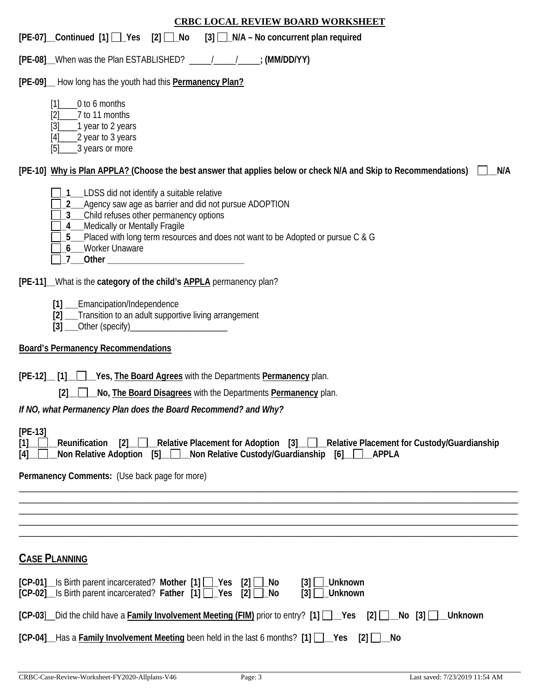| <b>CRBC LOCAL REVIEW BOARD WORKSHEET</b>                                                                                                                                                                                                                                               |
|----------------------------------------------------------------------------------------------------------------------------------------------------------------------------------------------------------------------------------------------------------------------------------------|
| $[PE-07]$ Continued $[1]$ $\Box$ Yes $[2]$ $\Box$ No<br>$[3]$ $\Box$ N/A – No concurrent plan required                                                                                                                                                                                 |
| [PE-08] When was the Plan ESTABLISHED? _____________________; (MM/DD/YY)                                                                                                                                                                                                               |
| [PE-09] How long has the youth had this Permanency Plan?                                                                                                                                                                                                                               |
| [1]<br>0 to 6 months<br>7 to 11 months<br>[2]<br>$[3]$<br>1 year to 2 years<br>2 year to 3 years<br>[4]<br>3 years or more<br>[5]                                                                                                                                                      |
| [PE-10] Why is Plan APPLA? (Choose the best answer that applies below or check N/A and Skip to Recommendations)<br>N/A                                                                                                                                                                 |
| LDSS did not identify a suitable relative<br>Agency saw age as barrier and did not pursue ADOPTION<br>Child refuses other permanency options<br>4_Medically or Mentally Fragile<br>5_Placed with long term resources and does not want to be Adopted or pursue C & G<br>Worker Unaware |
| [PE-11]_What is the category of the child's <b>APPLA</b> permanency plan?                                                                                                                                                                                                              |
| [1] __Emancipation/Independence<br>[2] __Transition to an adult supportive living arrangement                                                                                                                                                                                          |
| <b>Board's Permanency Recommendations</b>                                                                                                                                                                                                                                              |
| [PE-12] [1] Yes, The Board Agrees with the Departments Permanency plan.<br>No, <b>The Board Disagrees</b> with the Departments <b>Permanency</b> plan.<br>[2]<br>If NO, what Permanency Plan does the Board Recommend? and Why?                                                        |
|                                                                                                                                                                                                                                                                                        |
| $[PE-13]$<br>[2] Relative Placement for Adoption [3] Relative Placement for Custody/Guardianship<br>[1]<br>Reunification<br>Non Relative Adoption [5] Non Relative Custody/Guardianship<br>[6]<br>APPLA<br>[4]                                                                         |
| Permanency Comments: (Use back page for more)                                                                                                                                                                                                                                          |
|                                                                                                                                                                                                                                                                                        |
|                                                                                                                                                                                                                                                                                        |
|                                                                                                                                                                                                                                                                                        |
| <b>CASE PLANNING</b>                                                                                                                                                                                                                                                                   |
| [CP-01] Is Birth parent incarcerated? Mother [1] Pes [2]<br><b>Unknown</b><br>_No<br>131<br>$[CP-02]$ Is Birth parent incarcerated? Father $[1]$ $\Box$ Yes<br>$[2]$ $\Box$ No<br>_Unknown<br>$\lceil 3 \rceil$                                                                        |
| $[CP-03]$ Did the child have a Family Involvement Meeting (FIM) prior to entry? [1] $\Box$ Yes [2] $\Box$<br><b>Unknown</b>                                                                                                                                                            |

**[CP-04]\_\_**Has a **Family Involvement Meeting** been held in the last 6 months? **[1] \_\_Yes [2] \_\_No**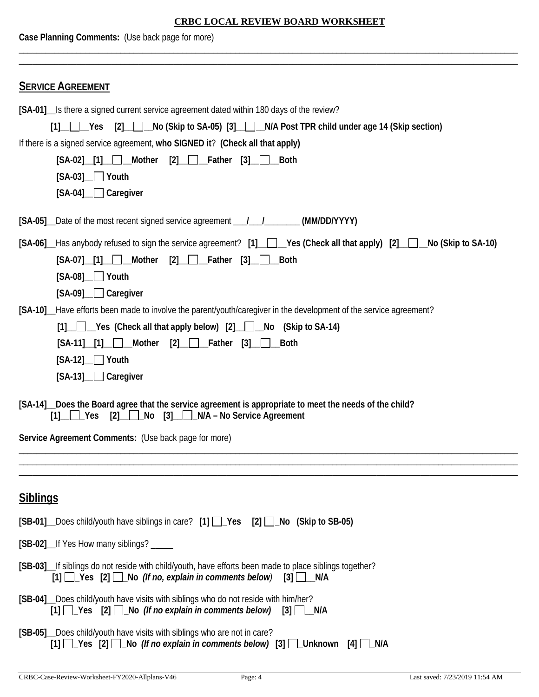| Case Planning Comments: (Use back page for more)                                                                                                                                                                                                                                                                                                             |  |  |  |  |
|--------------------------------------------------------------------------------------------------------------------------------------------------------------------------------------------------------------------------------------------------------------------------------------------------------------------------------------------------------------|--|--|--|--|
|                                                                                                                                                                                                                                                                                                                                                              |  |  |  |  |
| <b>SERVICE AGREEMENT</b>                                                                                                                                                                                                                                                                                                                                     |  |  |  |  |
| [SA-01] Is there a signed current service agreement dated within 180 days of the review?                                                                                                                                                                                                                                                                     |  |  |  |  |
| [1] Yes [2] No (Skip to SA-05) [3] N/A Post TPR child under age 14 (Skip section)                                                                                                                                                                                                                                                                            |  |  |  |  |
| If there is a signed service agreement, who SIGNED it? (Check all that apply)<br>$[SA-02]$ [1] Mother $[2]$ Father [3]<br><b>Both</b>                                                                                                                                                                                                                        |  |  |  |  |
| $[SA-03]$ $\Box$ Youth                                                                                                                                                                                                                                                                                                                                       |  |  |  |  |
| [SA-04] Caregiver                                                                                                                                                                                                                                                                                                                                            |  |  |  |  |
|                                                                                                                                                                                                                                                                                                                                                              |  |  |  |  |
| [SA-05] Date of the most recent signed service agreement _____________________(MM/DD/YYYY)                                                                                                                                                                                                                                                                   |  |  |  |  |
| [SA-06] Has anybody refused to sign the service agreement? [1] [Colleck all that apply [2] [Collect SA-10)                                                                                                                                                                                                                                                   |  |  |  |  |
| $[SA-07]$ [1] Mother $[2]$ Father $[3]$ Both                                                                                                                                                                                                                                                                                                                 |  |  |  |  |
| $[SA-08]$ $\Box$ Youth                                                                                                                                                                                                                                                                                                                                       |  |  |  |  |
| [SA-09] Caregiver                                                                                                                                                                                                                                                                                                                                            |  |  |  |  |
| [SA-10]_Have efforts been made to involve the parent/youth/caregiver in the development of the service agreement?<br>[1] Yes (Check all that apply below) [2] No (Skip to SA-14)                                                                                                                                                                             |  |  |  |  |
| $[SA-11]$ [1] Mother<br>$[2]$ $\Box$ Father $[3]$ $\Box$<br><b>Both</b>                                                                                                                                                                                                                                                                                      |  |  |  |  |
| $[SA-12]$ Youth                                                                                                                                                                                                                                                                                                                                              |  |  |  |  |
| $[SA-13]$ $\Box$ Caregiver                                                                                                                                                                                                                                                                                                                                   |  |  |  |  |
| [SA-14] Does the Board agree that the service agreement is appropriate to meet the needs of the child?<br>$[2]$ No $[3]$ N/A – No Service Agreement<br>$\begin{array}{ c c c c c } \hline \end{array}$ $\begin{array}{ c c c c c c } \hline \end{array}$ $\begin{array}{ c c c c c c } \hline \end{array}$ $\begin{array}{ c c c c c c } \hline \end{array}$ |  |  |  |  |
| Service Agreement Comments: (Use back page for more)                                                                                                                                                                                                                                                                                                         |  |  |  |  |
|                                                                                                                                                                                                                                                                                                                                                              |  |  |  |  |
| <b>Siblings</b>                                                                                                                                                                                                                                                                                                                                              |  |  |  |  |
| [SB-01] Does child/youth have siblings in care? [1] Pes [2] No (Skip to SB-05)                                                                                                                                                                                                                                                                               |  |  |  |  |
| [SB-02]_If Yes How many siblings? _____                                                                                                                                                                                                                                                                                                                      |  |  |  |  |
| [SB-03] If siblings do not reside with child/youth, have efforts been made to place siblings together?<br>$[1]$ $\Box$ Yes $[2]$ $\Box$ No (If no, explain in comments below) $[3]$ $\Box$ N/A                                                                                                                                                               |  |  |  |  |
| [SB-04]_Does child/youth have visits with siblings who do not reside with him/her?<br>$[1]$ $\Box$ Yes $[2]$ $\Box$ No (If no explain in comments below) $[3]$ $\Box$ N/A                                                                                                                                                                                    |  |  |  |  |
| [SB-05] Does child/youth have visits with siblings who are not in care?<br>[1] $\Box$ Yes [2] $\Box$ No (If no explain in comments below) [3] $\Box$ Unknown [4] $\Box$ N/A                                                                                                                                                                                  |  |  |  |  |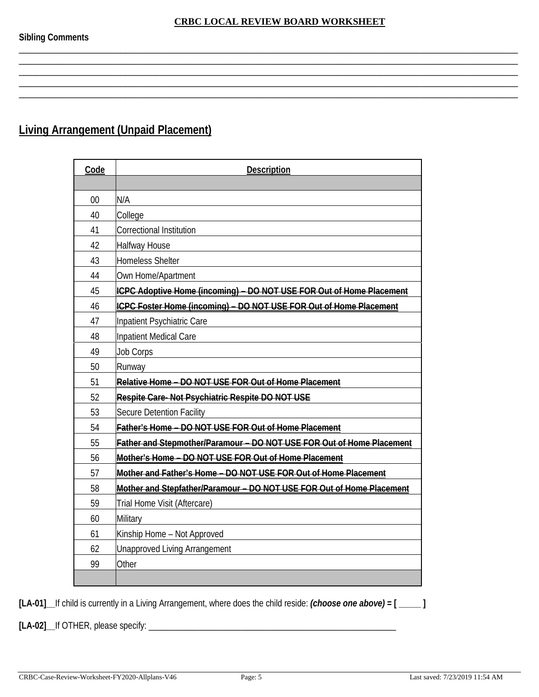\_\_\_\_\_\_\_\_\_\_\_\_\_\_\_\_\_\_\_\_\_\_\_\_\_\_\_\_\_\_\_\_\_\_\_\_\_\_\_\_\_\_\_\_\_\_\_\_\_\_\_\_\_\_\_\_\_\_\_\_\_\_\_\_\_\_\_\_\_\_\_\_\_\_\_\_\_\_\_\_\_\_\_\_\_\_\_\_\_\_\_\_\_\_\_\_\_\_\_\_\_\_\_\_\_\_\_\_\_\_\_\_\_

\_\_\_\_\_\_\_\_\_\_\_\_\_\_\_\_\_\_\_\_\_\_\_\_\_\_\_\_\_\_\_\_\_\_\_\_\_\_\_\_\_\_\_\_\_\_\_\_\_\_\_\_\_\_\_\_\_\_\_\_\_\_\_\_\_\_\_\_\_\_\_\_\_\_\_\_\_\_\_\_\_\_\_\_\_\_\_\_\_\_\_\_\_\_\_\_\_\_\_\_\_\_\_\_\_\_\_\_\_\_\_\_\_

\_\_\_\_\_\_\_\_\_\_\_\_\_\_\_\_\_\_\_\_\_\_\_\_\_\_\_\_\_\_\_\_\_\_\_\_\_\_\_\_\_\_\_\_\_\_\_\_\_\_\_\_\_\_\_\_\_\_\_\_\_\_\_\_\_\_\_\_\_\_\_\_\_\_\_\_\_\_\_\_\_\_\_\_\_\_\_\_\_\_\_\_\_\_\_\_\_\_\_\_\_\_\_\_\_\_\_\_\_\_\_\_\_

# **Living Arrangement (Unpaid Placement)**

| Code | <b>Description</b>                                                    |
|------|-----------------------------------------------------------------------|
|      |                                                                       |
| 00   | N/A                                                                   |
| 40   | College                                                               |
| 41   | <b>Correctional Institution</b>                                       |
| 42   | <b>Halfway House</b>                                                  |
| 43   | <b>Homeless Shelter</b>                                               |
| 44   | Own Home/Apartment                                                    |
| 45   | ICPC Adoptive Home (incoming) - DO NOT USE FOR Out of Home Placement  |
| 46   | ICPC Foster Home (incoming) - DO NOT USE FOR Out of Home Placement    |
| 47   | Inpatient Psychiatric Care                                            |
| 48   | Inpatient Medical Care                                                |
| 49   | <b>Job Corps</b>                                                      |
| 50   | Runway                                                                |
| 51   | Relative Home - DO NOT USE FOR Out of Home Placement                  |
| 52   | Respite Care-Not Psychiatric Respite DO NOT USE                       |
| 53   | <b>Secure Detention Facility</b>                                      |
| 54   | Father's Home - DO NOT USE FOR Out of Home Placement                  |
| 55   | Father and Stepmother/Paramour - DO NOT USE FOR Out of Home Placement |
| 56   | Mother's Home - DO NOT USE FOR Out of Home Placement                  |
| 57   | Mother and Father's Home - DO NOT USE FOR Out of Home Placement       |
| 58   | Mother and Stepfather/Paramour - DO NOT USE FOR Out of Home Placement |
| 59   | Trial Home Visit (Aftercare)                                          |
| 60   | <b>Military</b>                                                       |
| 61   | Kinship Home - Not Approved                                           |
| 62   | <b>Unapproved Living Arrangement</b>                                  |
| 99   | Other                                                                 |
|      |                                                                       |

**[LA-01]\_\_**If child is currently in a Living Arrangement, where does the child reside: *(choose one above)* **= [ \_\_\_\_\_ ]**

**[LA-02]\_\_**If OTHER, please specify: \_\_\_\_\_\_\_\_\_\_\_\_\_\_\_\_\_\_\_\_\_\_\_\_\_\_\_\_\_\_\_\_\_\_\_\_\_\_\_\_\_\_\_\_\_\_\_\_\_\_\_\_\_\_\_\_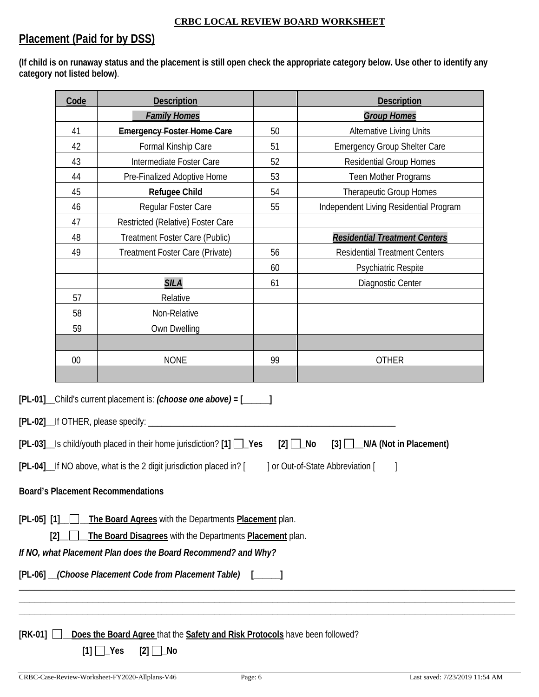# **Placement (Paid for by DSS)**

**(If child is on runaway status and the placement is still open check the appropriate category below. Use other to identify any category not listed below)**.

| [PL-01] _Child's current placement is: (choose one above) = [_____] | 41<br>42<br>43<br>44<br>45<br>46<br>47<br>48<br>49<br>57<br>58<br>59<br>00 | <b>Family Homes</b><br><b>Emergency Foster Home Care</b><br>Formal Kinship Care<br>Intermediate Foster Care<br>Pre-Finalized Adoptive Home<br><b>Refugee Child</b><br>Regular Foster Care<br>Restricted (Relative) Foster Care<br>Treatment Foster Care (Public)<br>Treatment Foster Care (Private)<br><b>SILA</b><br>Relative<br>Non-Relative<br>Own Dwelling<br><b>NONE</b> | 50<br>51<br>52<br>53<br>54<br>55<br>56<br>60<br>61<br>99 | <b>Group Homes</b><br><b>Alternative Living Units</b><br><b>Emergency Group Shelter Care</b><br><b>Residential Group Homes</b><br>Teen Mother Programs<br>Therapeutic Group Homes<br>Independent Living Residential Program<br><b>Residential Treatment Centers</b><br><b>Residential Treatment Centers</b><br>Psychiatric Respite<br>Diagnostic Center<br><b>OTHER</b> |  |
|---------------------------------------------------------------------|----------------------------------------------------------------------------|-------------------------------------------------------------------------------------------------------------------------------------------------------------------------------------------------------------------------------------------------------------------------------------------------------------------------------------------------------------------------------|----------------------------------------------------------|-------------------------------------------------------------------------------------------------------------------------------------------------------------------------------------------------------------------------------------------------------------------------------------------------------------------------------------------------------------------------|--|
|                                                                     |                                                                            |                                                                                                                                                                                                                                                                                                                                                                               |                                                          |                                                                                                                                                                                                                                                                                                                                                                         |  |
|                                                                     |                                                                            |                                                                                                                                                                                                                                                                                                                                                                               |                                                          |                                                                                                                                                                                                                                                                                                                                                                         |  |
|                                                                     |                                                                            |                                                                                                                                                                                                                                                                                                                                                                               |                                                          |                                                                                                                                                                                                                                                                                                                                                                         |  |
|                                                                     |                                                                            |                                                                                                                                                                                                                                                                                                                                                                               |                                                          |                                                                                                                                                                                                                                                                                                                                                                         |  |
|                                                                     |                                                                            |                                                                                                                                                                                                                                                                                                                                                                               |                                                          |                                                                                                                                                                                                                                                                                                                                                                         |  |
|                                                                     |                                                                            |                                                                                                                                                                                                                                                                                                                                                                               |                                                          |                                                                                                                                                                                                                                                                                                                                                                         |  |
|                                                                     |                                                                            |                                                                                                                                                                                                                                                                                                                                                                               |                                                          |                                                                                                                                                                                                                                                                                                                                                                         |  |
|                                                                     |                                                                            |                                                                                                                                                                                                                                                                                                                                                                               |                                                          |                                                                                                                                                                                                                                                                                                                                                                         |  |
|                                                                     |                                                                            |                                                                                                                                                                                                                                                                                                                                                                               |                                                          |                                                                                                                                                                                                                                                                                                                                                                         |  |
|                                                                     |                                                                            |                                                                                                                                                                                                                                                                                                                                                                               |                                                          |                                                                                                                                                                                                                                                                                                                                                                         |  |
|                                                                     |                                                                            |                                                                                                                                                                                                                                                                                                                                                                               |                                                          |                                                                                                                                                                                                                                                                                                                                                                         |  |
|                                                                     |                                                                            |                                                                                                                                                                                                                                                                                                                                                                               |                                                          |                                                                                                                                                                                                                                                                                                                                                                         |  |
|                                                                     |                                                                            |                                                                                                                                                                                                                                                                                                                                                                               |                                                          |                                                                                                                                                                                                                                                                                                                                                                         |  |
|                                                                     |                                                                            |                                                                                                                                                                                                                                                                                                                                                                               |                                                          |                                                                                                                                                                                                                                                                                                                                                                         |  |
|                                                                     |                                                                            |                                                                                                                                                                                                                                                                                                                                                                               |                                                          |                                                                                                                                                                                                                                                                                                                                                                         |  |
|                                                                     |                                                                            |                                                                                                                                                                                                                                                                                                                                                                               |                                                          |                                                                                                                                                                                                                                                                                                                                                                         |  |
|                                                                     |                                                                            |                                                                                                                                                                                                                                                                                                                                                                               |                                                          |                                                                                                                                                                                                                                                                                                                                                                         |  |
|                                                                     |                                                                            |                                                                                                                                                                                                                                                                                                                                                                               |                                                          |                                                                                                                                                                                                                                                                                                                                                                         |  |
|                                                                     |                                                                            | [PL-02]__If OTHER, please specify: ________<br>[PL-03]_ls child/youth placed in their home jurisdiction? [1] □_Yes<br>[PL-04] If NO above, what is the 2 digit jurisdiction placed in? [                                                                                                                                                                                      |                                                          | $[2]$ $\Box$ No<br>$[3]$ $\Box$ N/A (Not in Placement)<br>] or Out-of-State Abbreviation [                                                                                                                                                                                                                                                                              |  |
| <b>Board's Placement Recommendations</b>                            |                                                                            |                                                                                                                                                                                                                                                                                                                                                                               |                                                          |                                                                                                                                                                                                                                                                                                                                                                         |  |
| $[PL-05]$ $[1]$<br>[2]                                              |                                                                            | The Board Agrees with the Departments Placement plan.<br>The Board Disagrees with the Departments Placement plan.<br>If NO, what Placement Plan does the Board Recommend? and Why?                                                                                                                                                                                            |                                                          |                                                                                                                                                                                                                                                                                                                                                                         |  |
|                                                                     |                                                                            |                                                                                                                                                                                                                                                                                                                                                                               |                                                          |                                                                                                                                                                                                                                                                                                                                                                         |  |
|                                                                     | [PL-06] (Choose Placement Code from Placement Table) [                     |                                                                                                                                                                                                                                                                                                                                                                               |                                                          |                                                                                                                                                                                                                                                                                                                                                                         |  |
|                                                                     |                                                                            |                                                                                                                                                                                                                                                                                                                                                                               |                                                          |                                                                                                                                                                                                                                                                                                                                                                         |  |
|                                                                     |                                                                            |                                                                                                                                                                                                                                                                                                                                                                               |                                                          |                                                                                                                                                                                                                                                                                                                                                                         |  |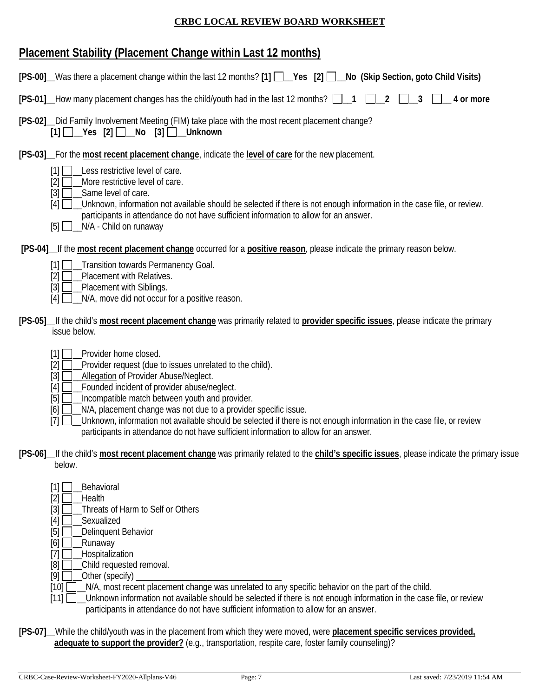# **Placement Stability (Placement Change within Last 12 months)**

| [PS-00] Was there a placement change within the last 12 months? [1] Ves [2] D No (Skip Section, goto Child Visits)                                                                                                                                                                                                                                                                                                                                                                                                                                                                       |
|------------------------------------------------------------------------------------------------------------------------------------------------------------------------------------------------------------------------------------------------------------------------------------------------------------------------------------------------------------------------------------------------------------------------------------------------------------------------------------------------------------------------------------------------------------------------------------------|
| [PS-01] How many placement changes has the child/youth had in the last 12 months? 1<br>2<br>4 or more                                                                                                                                                                                                                                                                                                                                                                                                                                                                                    |
| [PS-02] __ Did Family Involvement Meeting (FIM) take place with the most recent placement change?<br>$[1]$ $\Box$ Yes $[2]$ $\Box$ No $[3]$ $\Box$ Unknown                                                                                                                                                                                                                                                                                                                                                                                                                               |
| [PS-03] For the most recent placement change, indicate the level of care for the new placement.<br>[1]<br>Less restrictive level of care.<br>More restrictive level of care.<br>[2]<br>Same level of care.<br>$[3]$<br>Unknown, information not available should be selected if there is not enough information in the case file, or review.<br>[4]<br>participants in attendance do not have sufficient information to allow for an answer.<br>N/A - Child on runaway<br>$[5]$ $\Box$                                                                                                   |
| [PS-04] If the most recent placement change occurred for a positive reason, please indicate the primary reason below.<br>_Transition towards Permanency Goal.<br>$[1]$ $\Box$<br>Placement with Relatives.<br>[2]<br>Placement with Siblings.<br>$[3]$<br>N/A, move did not occur for a positive reason.<br>[4]                                                                                                                                                                                                                                                                          |
| [PS-05] If the child's most recent placement change was primarily related to provider specific issues, please indicate the primary<br>issue below.                                                                                                                                                                                                                                                                                                                                                                                                                                       |
| Provider home closed.<br>$\lceil 1 \rceil$<br>$[2]$<br>Provider request (due to issues unrelated to the child).<br>$[3]$<br>Allegation of Provider Abuse/Neglect.<br>Founded incident of provider abuse/neglect.<br>$[4]$<br>Incompatible match between youth and provider.<br>$[5]$<br>N/A, placement change was not due to a provider specific issue.<br>[6]<br>Unknown, information not available should be selected if there is not enough information in the case file, or review<br>$[7]$<br>participants in attendance do not have sufficient information to allow for an answer. |
| [PS-06] If the child's most recent placement change was primarily related to the child's specific issues, please indicate the primary issue<br>below.                                                                                                                                                                                                                                                                                                                                                                                                                                    |
| Behavioral<br>$[1]$<br>$[2]$<br>Health<br>Threats of Harm to Self or Others<br>$[3]$<br>Sexualized<br>$[4]$<br>$[5]$<br>Delinquent Behavior<br>Runaway<br>[6]<br>Hospitalization<br>$[7]$                                                                                                                                                                                                                                                                                                                                                                                                |

- [8]  $\Box$  Child requested removal.
- $[9]$   $\Box$  Other (specify)
- [10]  $\Box$  N/A, most recent placement change was unrelated to any specific behavior on the part of the child.

[11] Unknown information not available should be selected if there is not enough information in the case file, or review participants in attendance do not have sufficient information to allow for an answer.

**[PS-07]\_\_**While the child/youth was in the placement from which they were moved, were **placement specific services provided, adequate to support the provider?** (e.g., transportation, respite care, foster family counseling)?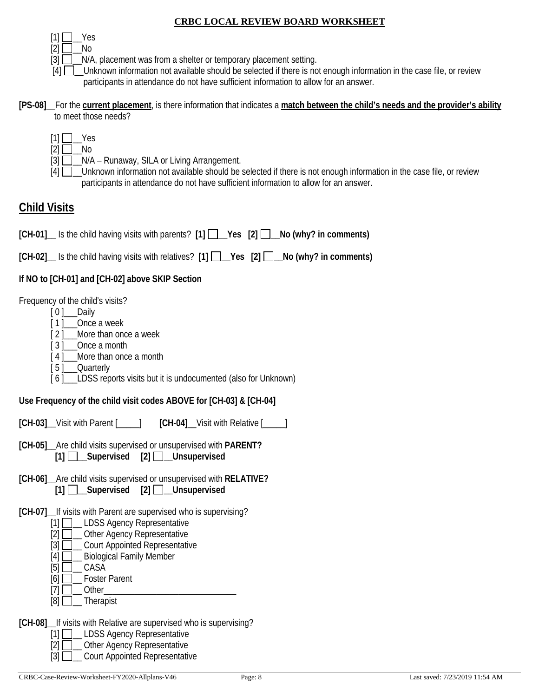$[1]$  | Yes

 $[2]$  No

 $[3]$   $\Box$  N/A, placement was from a shelter or temporary placement setting.

 $[4]$  Unknown information not available should be selected if there is not enough information in the case file, or review participants in attendance do not have sufficient information to allow for an answer.

**[PS-08]\_\_**For the **current placement**, is there information that indicates a **match between the child's needs and the provider's ability** to meet those needs?

|  | ⊃כ |
|--|----|
|  |    |

 $[3]$   $\Box$   $\Box$  N/A – Runaway, SILA or Living Arrangement.

 $[4]$  Unknown information not available should be selected if there is not enough information in the case file, or review participants in attendance do not have sufficient information to allow for an answer.

# **Child Visits**

**[CH-01]\_\_** Is the child having visits with parents? **[1] \_\_Yes [2] \_\_No (why? in comments)**

**[CH-02]\_\_** Is the child having visits with relatives? **[1] \_\_Yes [2] \_\_No (why? in comments)**

## **If NO to [CH-01] and [CH-02] above SKIP Section**

Frequency of the child's visits?

- [ 0 ]\_\_\_Daily
- [1] Once a week

[ 2 ] More than once a week

- [3] Once a month
- [4] More than once a month
- [ 5 ] Quarterly
- [6] LDSS reports visits but it is undocumented (also for Unknown)

## **Use Frequency of the child visit codes ABOVE for [CH-03] & [CH-04]**

**[CH-03]\_\_**Visit with Parent [\_\_\_\_\_] **[CH-04]**\_\_Visit with Relative [\_\_\_\_\_]

- **[CH-05]\_\_**Are child visits supervised or unsupervised with **PARENT? [1] \_\_Supervised [2] \_\_Unsupervised**
- **[CH-06]\_\_**Are child visits supervised or unsupervised with **RELATIVE? [1] \_\_Supervised [2] \_\_Unsupervised**
- **[CH-07]\_\_**If visits with Parent are supervised who is supervising?
	- [1] **\_\_\_ LDSS Agency Representative**
	- [2]  $\Box$  Other Agency Representative
	- [3] **Quart Appointed Representative**
	- [4] **L\_J\_\_** Biological Family Member
	- [5] **\_\_\_** CASA
	- $[6]$  Foster Parent
	- $[7]$   $\Box$  Other\_
	- $[8]$  Therapist

**[CH-08]\_\_**If visits with Relative are supervised who is supervising?

- [1] **Q\_ LDSS Agency Representative**
- [2]  $\Box$  Other Agency Representative
- [3] **Quart Appointed Representative**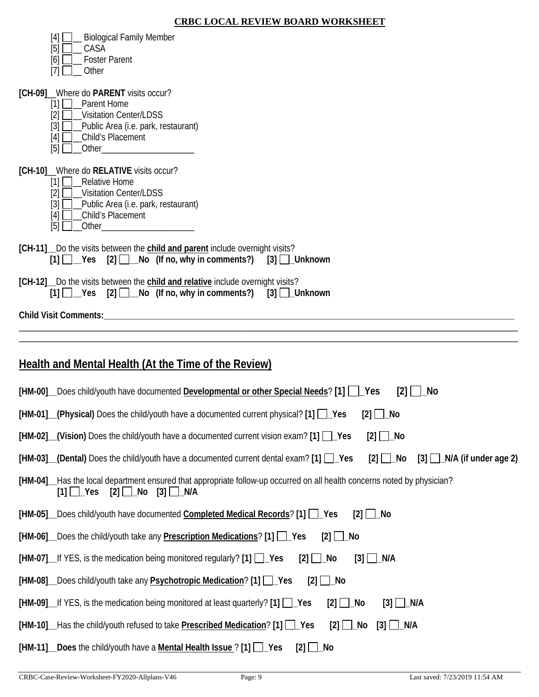|  | <b>CRBC LOCAL REVIEW BOARD WORKSHEET</b> |
|--|------------------------------------------|
|  |                                          |

| <b>Biological Family Member</b><br>$[4]$<br>[5]<br>CASA<br>[6]<br><b>Foster Parent</b><br>$[7]$<br>Other                                                                                                                                                                                                                                                                                                                          |
|-----------------------------------------------------------------------------------------------------------------------------------------------------------------------------------------------------------------------------------------------------------------------------------------------------------------------------------------------------------------------------------------------------------------------------------|
| [CH-09] Where do PARENT visits occur?<br>$[1]$<br><b>Parent Home</b><br><b>Visitation Center/LDSS</b><br>[2]<br>$[3]$<br>_Public Area (i.e. park, restaurant)<br>Child's Placement<br>[4]<br>[5]<br>Other and the contract of the contract of the contract of the contract of the contract of the contract of the contract of the contract of the contract of the contract of the contract of the contract of the contract of the |
| [CH-10] Where do RELATIVE visits occur?<br>[1] Relative Home<br><b>Visitation Center/LDSS</b><br>[2]<br>$[3]$<br>_Public Area (i.e. park, restaurant)<br>Child's Placement<br>$[4]$<br>$\lceil 5 \rceil$                                                                                                                                                                                                                          |
| [CH-11] Do the visits between the child and parent include overnight visits?<br>$[1]$ $\Box$ Yes $[2]$ $\Box$ No (If no, why in comments?) [3] $\Box$ Unknown                                                                                                                                                                                                                                                                     |
| [CH-12] Do the visits between the child and relative include overnight visits?<br>[1] Ves [2] No (If no, why in comments?) [3] Unknown                                                                                                                                                                                                                                                                                            |
|                                                                                                                                                                                                                                                                                                                                                                                                                                   |
|                                                                                                                                                                                                                                                                                                                                                                                                                                   |
| <b>Health and Mental Health (At the Time of the Review)</b>                                                                                                                                                                                                                                                                                                                                                                       |
| [HM-00]_Does child/youth have documented Developmental or other Special Needs? [1] [Cases<br>[2]<br>_No                                                                                                                                                                                                                                                                                                                           |
| [HM-01] (Physical) Does the child/youth have a documented current physical? [1] [ Yes<br>$[2]$ $\Box$ No                                                                                                                                                                                                                                                                                                                          |
| $[HM-02]$ (Vision) Does the child/youth have a documented current vision exam? $[1]$ $\Box$ Yes<br>$[2]$ $\Box$ No                                                                                                                                                                                                                                                                                                                |
| $[HM-03]$ (Dental) Does the child/youth have a documented current dental exam? $[1]$ $\Box$ Yes<br>$[2]$ Mo<br>$[3]$ $\Box$ N/A (if under age 2)                                                                                                                                                                                                                                                                                  |
| [HM-04]__Has the local department ensured that appropriate follow-up occurred on all health concerns noted by physician?<br>[2] $□$ _No<br>$[1]$ $\Box$ Yes<br>$[3]$ $\Box$ N/A                                                                                                                                                                                                                                                   |
| [HM-05] Does child/youth have documented Completed Medical Records? [1] [ Yes<br>$\lceil 2 \rceil$<br>$\Box$ No                                                                                                                                                                                                                                                                                                                   |
| [HM-06] Does the child/youth take any <b>Prescription Medications</b> ? [1] Pes<br>$[2]$ $\Box$ No                                                                                                                                                                                                                                                                                                                                |
| [HM-07] If YES, is the medication being monitored regularly? [1] Pes<br>$[3]$ $\Box$ N/A<br>$[2]$ $\Box$ No                                                                                                                                                                                                                                                                                                                       |
| [HM-08] Does child/youth take any <b>Psychotropic Medication</b> ? [1] Pes<br>$[2]$ $\Box$ No                                                                                                                                                                                                                                                                                                                                     |
| $[HM-09]$ If YES, is the medication being monitored at least quarterly? $[1]$ $\Box$ Yes<br>$[2]$ $\Box$ No<br>$[3]$ $\Box$ N/A                                                                                                                                                                                                                                                                                                   |
| [HM-10] Has the child/youth refused to take <b>Prescribed Medication</b> ? [1] Ves<br>$[2]$ $\Box$ No<br>$[3]$ $\Box$ N/A                                                                                                                                                                                                                                                                                                         |
| _Does the child/youth have a Mental Health Issue ? [1] □_Yes<br>$[HM-11]$<br>[2]<br>_No                                                                                                                                                                                                                                                                                                                                           |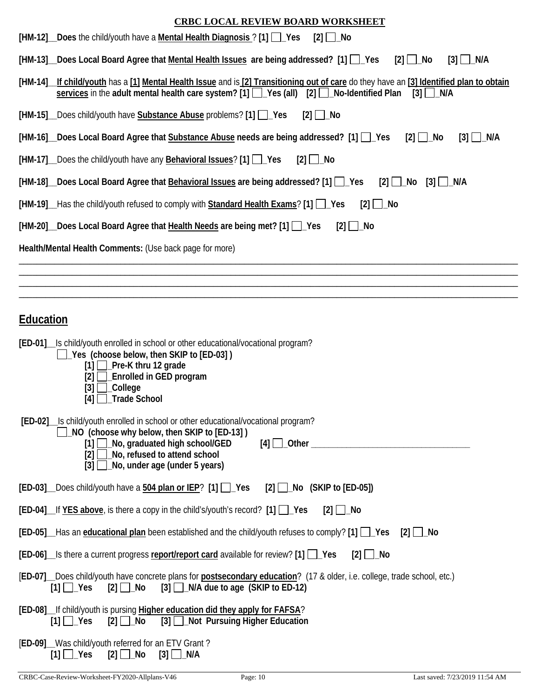| <b>CRBC LOCAL REVIEW BOARD WORKSHEET</b>                                                                                                                                                                                                                      |
|---------------------------------------------------------------------------------------------------------------------------------------------------------------------------------------------------------------------------------------------------------------|
| [HM-12] _Does the child/youth have a Mental Health Diagnosis ? [1] ] _Yes<br>$[2]$ $\Box$ No                                                                                                                                                                  |
| [HM-13] Does Local Board Agree that Mental Health Issues are being addressed? [1] [ Yes<br>$[2]$ $\Box$ No<br>$\lceil 3 \rceil$ $\lfloor N/A \rfloor$                                                                                                         |
| [HM-14] lf child/youth has a [1] Mental Health Issue and is [2] Transitioning out of care do they have an [3] Identified plan to obtain<br>services in the adult mental health care system? [1] $\Box$ Yes (all) [2] $\Box$ No-Identified Plan<br>$[3]$ N/A   |
| [HM-15] Does child/youth have Substance Abuse problems? [1] Pes<br>$[2]$ No                                                                                                                                                                                   |
| [HM-16] Does Local Board Agree that Substance Abuse needs are being addressed? [1] [ Yes<br>$[2]$ $\Box$ No<br>$[3]$ $\Box$ N/A                                                                                                                               |
| [HM-17] Does the child/youth have any <b>Behavioral Issues</b> ? [1] Pes<br>$[2]$ $\Box$ No                                                                                                                                                                   |
| [HM-18] Does Local Board Agree that <b>Behavioral Issues</b> are being addressed? [1] [ Cass<br>$[2]$ No<br>$[3]$ $\Box$ N/A                                                                                                                                  |
| [HM-19] __ Has the child/youth refused to comply with <b>Standard Health Exams</b> ? [1] ___ Yes<br>$[2]$ $\Box$ No                                                                                                                                           |
| [HM-20] Does Local Board Agree that Health Needs are being met? [1] \[ Yes<br>$[2]$   $\lfloor$ No                                                                                                                                                            |
| Health/Mental Health Comments: (Use back page for more)                                                                                                                                                                                                       |
|                                                                                                                                                                                                                                                               |
|                                                                                                                                                                                                                                                               |
| <b>Education</b>                                                                                                                                                                                                                                              |
| [ED-01] Is child/youth enrolled in school or other educational/vocational program?                                                                                                                                                                            |
| □ Yes (choose below, then SKIP to [ED-03])<br>Pre-K thru 12 grade<br>$\lceil 1 \rceil$<br><b>Enrolled in GED program</b><br>[3]<br>_College<br>$[4]$ $\Box$ Trade School                                                                                      |
| [ED-02] Is child/youth enrolled in school or other educational/vocational program?<br>□ NO (choose why below, then SKIP to [ED-13])<br>[1] No, graduated high school/GED<br>No, refused to attend school<br>[2]<br>$[3]$ $\Box$ No, under age (under 5 years) |
| [ED-03] Does child/youth have a 504 plan or IEP? [1] Pes<br>$[2]$ No (SKIP to $[ED-05]$ )                                                                                                                                                                     |
| [ED-04] If YES above, is there a copy in the child's/youth's record? [1] \ \ Yes<br>$[2]$ $\Box$ No                                                                                                                                                           |

|  |  | [ED-06] S there a current progress report/report card available for review? [1] [ Ses [2] [ Secult 2] |  |
|--|--|-------------------------------------------------------------------------------------------------------|--|
|--|--|-------------------------------------------------------------------------------------------------------|--|

|  |                                                                              |  | [ED-07] Does child/youth have concrete plans for <b>postsecondary education</b> ? (17 & older, i.e. college, trade school, etc.) |
|--|------------------------------------------------------------------------------|--|----------------------------------------------------------------------------------------------------------------------------------|
|  | $[1]$ $\Box$ Yes $[2]$ $\Box$ No $[3]$ $\Box$ N/A due to age (SKIP to ED-12) |  |                                                                                                                                  |

|  |  | [ED-08]_If child/youth is pursing Higher education did they apply for FAFSA? |  |
|--|--|------------------------------------------------------------------------------|--|
|  |  | [1] Ves [2] No [3] Not Pursuing Higher Education                             |  |

| [ED-09] Was child/youth referred for an ETV Grant? |                                                   |  |  |
|----------------------------------------------------|---------------------------------------------------|--|--|
|                                                    | $[1]$ $\Box$ Yes $[2]$ $\Box$ No $[3]$ $\Box$ N/A |  |  |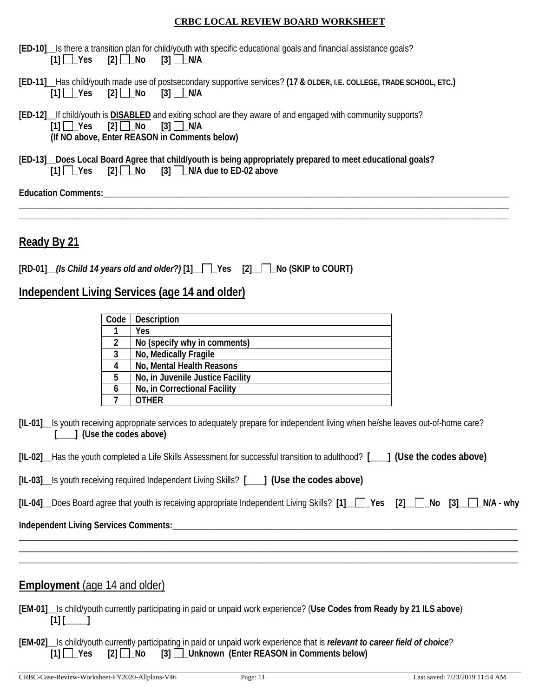|  |  |                                                            | [ED-10] Is there a transition plan for child/youth with specific educational goals and financial assistance goals? |  |
|--|--|------------------------------------------------------------|--------------------------------------------------------------------------------------------------------------------|--|
|  |  | $[1]$ $\bigcap$ Yes $[2]$ $\bigcap$ No $[3]$ $\bigcap$ N/A |                                                                                                                    |  |

- **[ED-11]**\_\_Has child/youth made use of postsecondary supportive services? **(17 & OLDER, I.E. COLLEGE, TRADE SCHOOL, ETC.)**  $[2] \square$  No  $[3] \square$  N/A
- **[ED-12]\_\_**If child/youth is **DISABLED** and exiting school are they aware of and engaged with community supports?  $[1]$   $\bigcup$   $Yes$   $[2]$   $\bigcup$   $No$   $[3]$   $\bigcup$   $N/A$ **(If NO above, Enter REASON in Comments below)**
- **[ED-13]\_\_Does Local Board Agree that child/youth is being appropriately prepared to meet educational goals?**   $[1]$   $\Box$  Yes  $[2]$   $\Box$  No  $[3]$   $\Box$  N/A due to ED-02 above

**\_\_\_\_\_\_\_\_\_\_\_\_\_\_\_\_\_\_\_\_\_\_\_\_\_\_\_\_\_\_\_\_\_\_\_\_\_\_\_\_\_\_\_\_\_\_\_\_\_\_\_\_\_\_\_\_\_\_\_\_\_\_\_\_\_\_\_\_\_\_\_\_\_\_\_\_\_\_\_\_\_\_\_\_\_\_\_\_\_\_\_\_\_\_\_\_\_\_\_\_\_\_\_\_\_\_\_\_\_\_\_ \_\_\_\_\_\_\_\_\_\_\_\_\_\_\_\_\_\_\_\_\_\_\_\_\_\_\_\_\_\_\_\_\_\_\_\_\_\_\_\_\_\_\_\_\_\_\_\_\_\_\_\_\_\_\_\_\_\_\_\_\_\_\_\_\_\_\_\_\_\_\_\_\_\_\_\_\_\_\_\_\_\_\_\_\_\_\_\_\_\_\_\_\_\_\_\_\_\_\_\_\_\_\_\_\_\_\_\_\_\_\_**

**Education Comments:\_\_\_\_\_\_\_\_\_\_\_\_\_\_\_\_\_\_\_\_\_\_\_\_\_\_\_\_\_\_\_\_\_\_\_\_\_\_\_\_\_\_\_\_\_\_\_\_\_\_\_\_\_\_\_\_\_\_\_\_\_\_\_\_\_\_\_\_\_\_\_\_\_\_\_\_\_\_\_\_\_\_\_\_\_\_\_\_\_\_\_\_**

**Ready By 21** 

|  | [RD-01] (Is Child 14 years old and older?) [1] Pes [2] No (SKIP to COURT) |  |  |  |
|--|---------------------------------------------------------------------------|--|--|--|
|--|---------------------------------------------------------------------------|--|--|--|

## **Independent Living Services (age 14 and older)**

| Code | <b>Description</b>               |
|------|----------------------------------|
|      | Yes                              |
| 2    | No (specify why in comments)     |
| 3    | No, Medically Fragile            |
|      | No, Mental Health Reasons        |
| 5    | No, in Juvenile Justice Facility |
| 6    | No, in Correctional Facility     |
|      | :דר\                             |

**[IL-01]\_\_**Is youth receiving appropriate services to adequately prepare for independent living when he/she leaves out-of-home care? **[\_\_\_\_] (Use the codes above)**

|  |  | [IL-02] Has the youth completed a Life Skills Assessment for successful transition to adulthood? [] (Use the codes above) |  |  |
|--|--|---------------------------------------------------------------------------------------------------------------------------|--|--|
|--|--|---------------------------------------------------------------------------------------------------------------------------|--|--|

| [IL-03] Is youth receiving required Independent Living Skills? [1812] (Use the codes above) |  |
|---------------------------------------------------------------------------------------------|--|
|---------------------------------------------------------------------------------------------|--|

|  | [IL-04] __ Does Board agree that youth is receiving appropriate Independent Living Skills? [1] __ ___ Yes [2] __ __ __ No [3] __ __ N/A - why |  |  |  |  |  |  |  |  |
|--|-----------------------------------------------------------------------------------------------------------------------------------------------|--|--|--|--|--|--|--|--|
|--|-----------------------------------------------------------------------------------------------------------------------------------------------|--|--|--|--|--|--|--|--|

\_\_\_\_\_\_\_\_\_\_\_\_\_\_\_\_\_\_\_\_\_\_\_\_\_\_\_\_\_\_\_\_\_\_\_\_\_\_\_\_\_\_\_\_\_\_\_\_\_\_\_\_\_\_\_\_\_\_\_\_\_\_\_\_\_\_\_\_\_\_\_\_\_\_\_\_\_\_\_\_\_\_\_\_\_\_\_\_\_\_\_\_\_\_\_\_\_\_\_\_\_\_\_\_\_\_\_\_\_\_\_\_\_ \_\_\_\_\_\_\_\_\_\_\_\_\_\_\_\_\_\_\_\_\_\_\_\_\_\_\_\_\_\_\_\_\_\_\_\_\_\_\_\_\_\_\_\_\_\_\_\_\_\_\_\_\_\_\_\_\_\_\_\_\_\_\_\_\_\_\_\_\_\_\_\_\_\_\_\_\_\_\_\_\_\_\_\_\_\_\_\_\_\_\_\_\_\_\_\_\_\_\_\_\_\_\_\_\_\_\_\_\_\_\_\_\_ \_\_\_\_\_\_\_\_\_\_\_\_\_\_\_\_\_\_\_\_\_\_\_\_\_\_\_\_\_\_\_\_\_\_\_\_\_\_\_\_\_\_\_\_\_\_\_\_\_\_\_\_\_\_\_\_\_\_\_\_\_\_\_\_\_\_\_\_\_\_\_\_\_\_\_\_\_\_\_\_\_\_\_\_\_\_\_\_\_\_\_\_\_\_\_\_\_\_\_\_\_\_\_\_\_\_\_\_\_\_\_\_\_

**Independent Living Services Comments:\_\_\_\_\_\_\_\_\_\_\_\_\_\_\_\_\_\_\_\_\_\_\_\_\_\_\_\_\_\_\_\_\_\_\_\_\_\_\_\_\_\_\_\_\_\_\_\_\_\_\_\_\_\_\_\_\_\_\_\_\_\_\_\_\_\_\_\_\_\_\_\_\_\_\_\_\_\_**

## **Employment** (age 14 and older)

**[EM-01]\_\_**Is child/youth currently participating in paid or unpaid work experience? (**Use Codes from Ready by 21 ILS above**)  $[1]$   $[$   $]$   $[$   $]$   $[$ 

**[EM-02]\_\_**Is child/youth currently participating in paid or unpaid work experience that is *relevant to career field of choice*? **[1] \_Yes [2] \_No [3] \_Unknown (Enter REASON in Comments below)**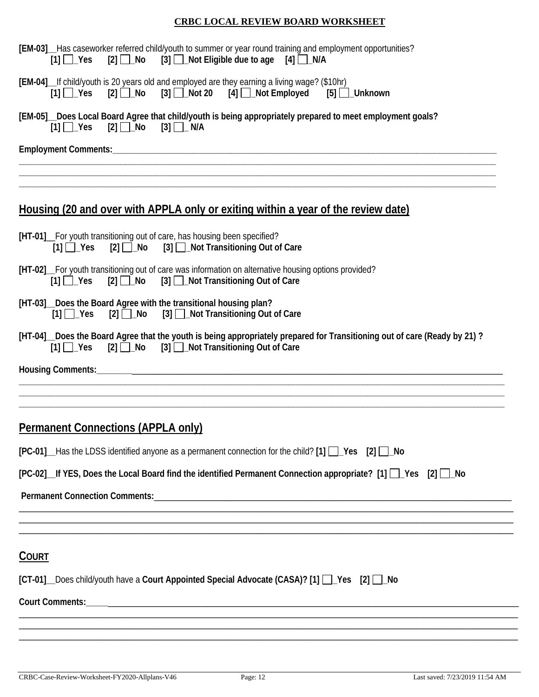| [EM-03]__Has caseworker referred child/youth to summer or year round training and employment opportunities?<br>$[2] \square$ No<br>$[3]$ $\Box$ Not Eligible due to age<br>$[1] \square$ Yes<br>$[4] \Box$ N/A |
|----------------------------------------------------------------------------------------------------------------------------------------------------------------------------------------------------------------|
| [EM-04]_If child/youth is 20 years old and employed are they earning a living wage? (\$10hr)<br>$[2]$ $\Box$ No $[3]$ $\Box$ Not 20 $[4]$ $\Box$ Not Employed<br>$[1]$ $\Box$ Yes<br>[5] □_Unknown             |
| [EM-05]_Does Local Board Agree that child/youth is being appropriately prepared to meet employment goals?<br>$[1]$ $\Box$ Yes $[2]$ $\Box$ No $[3]$ $\Box$ N/A                                                 |
|                                                                                                                                                                                                                |
| <u>Housing (20 and over with APPLA only or exiting within a year of the review date)</u>                                                                                                                       |
| [HT-01] For youth transitioning out of care, has housing been specified?<br>[2] 1 No [3] 1 Not Transitioning Out of Care<br>$[1]$ $\Box$ Yes                                                                   |
| [HT-02] For youth transitioning out of care was information on alternative housing options provided?<br>$[2]$ $\Box$ No<br>$[1]$ $\Box$ Yes<br>[3] □ Not Transitioning Out of Care                             |
| [HT-03] Does the Board Agree with the transitional housing plan?<br>$[2]$ No $[3]$ Not Transitioning Out of Care<br>$[1]$ $\Box$ Yes                                                                           |
| [HT-04] Does the Board Agree that the youth is being appropriately prepared for Transitioning out of care (Ready by 21)?<br>[1] Ves [2] No [3] Not Transitioning Out of Care                                   |
|                                                                                                                                                                                                                |
| <b>Permanent Connections (APPLA only)</b>                                                                                                                                                                      |
| $[PC-01]$ Has the LDSS identified anyone as a permanent connection for the child? $[1]$ $\Box$ Yes $[2]$ $\Box$ No                                                                                             |
| [PC-02] If YES, Does the Local Board find the identified Permanent Connection appropriate? [1] [Cres [2] [Cres                                                                                                 |
|                                                                                                                                                                                                                |
| <b>COURT</b>                                                                                                                                                                                                   |
| [CT-01] Does child/youth have a Court Appointed Special Advocate (CASA)? [1] 2 \Pes [2] 1 No                                                                                                                   |
|                                                                                                                                                                                                                |
|                                                                                                                                                                                                                |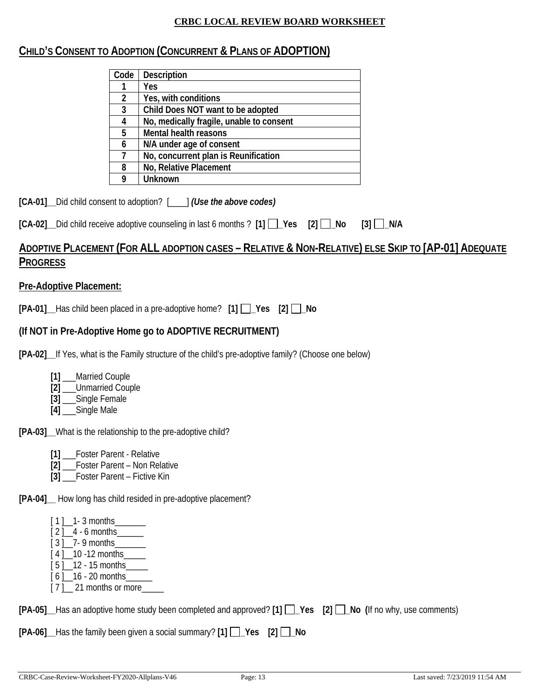# **CHILD'S CONSENT TO ADOPTION (CONCURRENT & PLANS OF ADOPTION)**

| Code           | <b>Description</b>                       |
|----------------|------------------------------------------|
|                | Yes                                      |
| $\overline{2}$ | Yes, with conditions                     |
| 3              | Child Does NOT want to be adopted        |
|                | No, medically fragile, unable to consent |
| 5              | Mental health reasons                    |
| 6              | N/A under age of consent                 |
|                | No, concurrent plan is Reunification     |
| 8              | No, Relative Placement                   |
|                | Unknown                                  |

**[CA-01]\_\_**Did child consent to adoption? [\_\_\_\_] *(Use the above codes)*

|  | [CA-02] _ Did child receive adoptive counseling in last 6 months ? [1] _ Yes [2] _ No [3] _ N/A |  |  |  |  |  |  |
|--|-------------------------------------------------------------------------------------------------|--|--|--|--|--|--|
|--|-------------------------------------------------------------------------------------------------|--|--|--|--|--|--|

# **ADOPTIVE PLACEMENT (FOR ALL ADOPTION CASES – RELATIVE & NON-RELATIVE) ELSE SKIP TO [AP-01] ADEQUATE PROGRESS**

## **Pre-Adoptive Placement:**

**[PA-01]\_\_**Has child been placed in a pre-adoptive home? **[1] \_Yes [2] \_No** 

# **(If NOT in Pre-Adoptive Home go to ADOPTIVE RECRUITMENT)**

**[PA-02]\_\_**If Yes, what is the Family structure of the child's pre-adoptive family? (Choose one below)

- **[1]** \_\_\_Married Couple
- **[2]** \_\_\_Unmarried Couple
- **[3]** \_\_\_Single Female
- **[4]** \_\_\_Single Male

**[PA-03]\_\_**What is the relationship to the pre-adoptive child?

- **[1]** \_\_\_Foster Parent Relative
- **[2]** \_\_\_Foster Parent Non Relative
- **[3]** Foster Parent Fictive Kin

**[PA-04]\_\_** How long has child resided in pre-adoptive placement?

- $[1]$  1 3 months
- $[2]$  4 6 months
- [ 3 ]\_\_7- 9 months\_\_\_\_\_\_\_
- $[4]$  10 -12 months
- $[5]$  12 15 months  $[6]$  16 - 20 months
- [ 7 ] 21 months or more

**[PA-05]\_\_**Has an adoptive home study been completed and approved? **[1] \_Yes [2] \_No (**If no why, use comments)

**[PA-06]\_\_**Has the family been given a social summary? **[1] \_Yes [2] \_No**